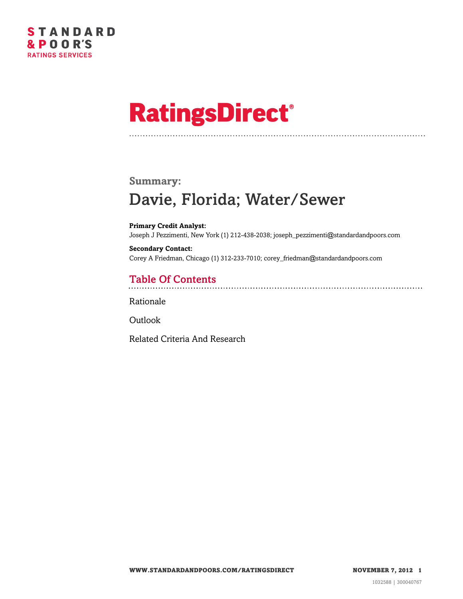

# **RatingsDirect®**

## **Summary:** Davie, Florida; Water/Sewer

**Primary Credit Analyst:** Joseph J Pezzimenti, New York (1) 212-438-2038; joseph\_pezzimenti@standardandpoors.com

**Secondary Contact:** Corey A Friedman, Chicago (1) 312-233-7010; corey\_friedman@standardandpoors.com

## Table Of Contents

[Rationale](#page-1-0)

**[Outlook](#page-3-0)** 

[Related Criteria And Research](#page-4-0)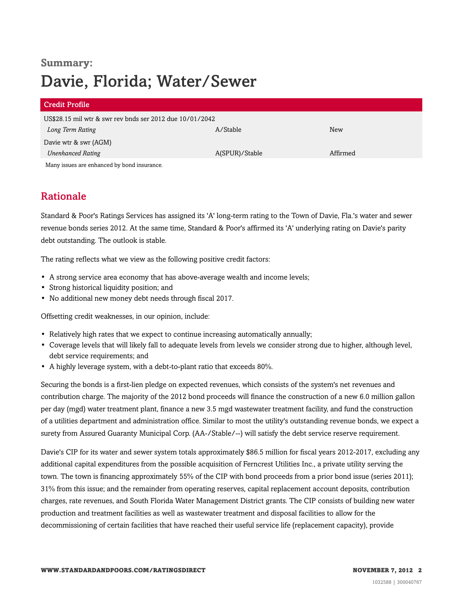# **Summary:** Davie, Florida; Water/Sewer

| <b>Credit Profile</b>                                    |                |          |
|----------------------------------------------------------|----------------|----------|
| US\$28.15 mil wtr & swr rev bnds ser 2012 due 10/01/2042 |                |          |
| Long Term Rating                                         | A/Stable       | New      |
| Davie wtr & swr (AGM)                                    |                |          |
| <b>Unenhanced Rating</b>                                 | A(SPUR)/Stable | Affirmed |
| Many issues are enhanced by bond insurance.              |                |          |

### <span id="page-1-0"></span>Rationale

Standard & Poor's Ratings Services has assigned its 'A' long-term rating to the Town of Davie, Fla.'s water and sewer revenue bonds series 2012. At the same time, Standard & Poor's affirmed its 'A' underlying rating on Davie's parity debt outstanding. The outlook is stable.

The rating reflects what we view as the following positive credit factors:

- A strong service area economy that has above-average wealth and income levels;
- Strong historical liquidity position; and
- No additional new money debt needs through fiscal 2017.

Offsetting credit weaknesses, in our opinion, include:

- Relatively high rates that we expect to continue increasing automatically annually;
- Coverage levels that will likely fall to adequate levels from levels we consider strong due to higher, although level, debt service requirements; and
- A highly leverage system, with a debt-to-plant ratio that exceeds 80%.

Securing the bonds is a first-lien pledge on expected revenues, which consists of the system's net revenues and contribution charge. The majority of the 2012 bond proceeds will finance the construction of a new 6.0 million gallon per day (mgd) water treatment plant, finance a new 3.5 mgd wastewater treatment facility, and fund the construction of a utilities department and administration office. Similar to most the utility's outstanding revenue bonds, we expect a surety from Assured Guaranty Municipal Corp. (AA-/Stable/--) will satisfy the debt service reserve requirement.

Davie's CIP for its water and sewer system totals approximately \$86.5 million for fiscal years 2012-2017, excluding any additional capital expenditures from the possible acquisition of Ferncrest Utilities Inc., a private utility serving the town. The town is financing approximately 55% of the CIP with bond proceeds from a prior bond issue (series 2011); 31% from this issue; and the remainder from operating reserves, capital replacement account deposits, contribution charges, rate revenues, and South Florida Water Management District grants. The CIP consists of building new water production and treatment facilities as well as wastewater treatment and disposal facilities to allow for the decommissioning of certain facilities that have reached their useful service life (replacement capacity), provide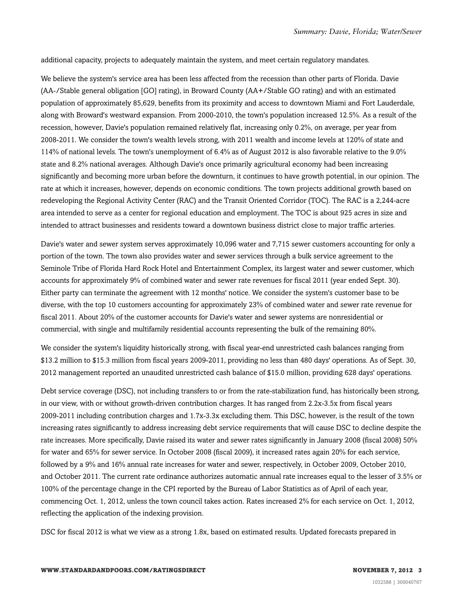additional capacity, projects to adequately maintain the system, and meet certain regulatory mandates.

We believe the system's service area has been less affected from the recession than other parts of Florida. Davie (AA-/Stable general obligation [GO] rating), in Broward County (AA+/Stable GO rating) and with an estimated population of approximately 85,629, benefits from its proximity and access to downtown Miami and Fort Lauderdale, along with Broward's westward expansion. From 2000-2010, the town's population increased 12.5%. As a result of the recession, however, Davie's population remained relatively flat, increasing only 0.2%, on average, per year from 2008-2011. We consider the town's wealth levels strong, with 2011 wealth and income levels at 120% of state and 114% of national levels. The town's unemployment of 6.4% as of August 2012 is also favorable relative to the 9.0% state and 8.2% national averages. Although Davie's once primarily agricultural economy had been increasing significantly and becoming more urban before the downturn, it continues to have growth potential, in our opinion. The rate at which it increases, however, depends on economic conditions. The town projects additional growth based on redeveloping the Regional Activity Center (RAC) and the Transit Oriented Corridor (TOC). The RAC is a 2,244-acre area intended to serve as a center for regional education and employment. The TOC is about 925 acres in size and intended to attract businesses and residents toward a downtown business district close to major traffic arteries.

Davie's water and sewer system serves approximately 10,096 water and 7,715 sewer customers accounting for only a portion of the town. The town also provides water and sewer services through a bulk service agreement to the Seminole Tribe of Florida Hard Rock Hotel and Entertainment Complex, its largest water and sewer customer, which accounts for approximately 9% of combined water and sewer rate revenues for fiscal 2011 (year ended Sept. 30). Either party can terminate the agreement with 12 months' notice. We consider the system's customer base to be diverse, with the top 10 customers accounting for approximately 23% of combined water and sewer rate revenue for fiscal 2011. About 20% of the customer accounts for Davie's water and sewer systems are nonresidential or commercial, with single and multifamily residential accounts representing the bulk of the remaining 80%.

We consider the system's liquidity historically strong, with fiscal year-end unrestricted cash balances ranging from \$13.2 million to \$15.3 million from fiscal years 2009-2011, providing no less than 480 days' operations. As of Sept. 30, 2012 management reported an unaudited unrestricted cash balance of \$15.0 million, providing 628 days' operations.

Debt service coverage (DSC), not including transfers to or from the rate-stabilization fund, has historically been strong, in our view, with or without growth-driven contribution charges. It has ranged from 2.2x-3.5x from fiscal years 2009-2011 including contribution charges and 1.7x-3.3x excluding them. This DSC, however, is the result of the town increasing rates significantly to address increasing debt service requirements that will cause DSC to decline despite the rate increases. More specifically, Davie raised its water and sewer rates significantly in January 2008 (fiscal 2008) 50% for water and 65% for sewer service. In October 2008 (fiscal 2009), it increased rates again 20% for each service, followed by a 9% and 16% annual rate increases for water and sewer, respectively, in October 2009, October 2010, and October 2011. The current rate ordinance authorizes automatic annual rate increases equal to the lesser of 3.5% or 100% of the percentage change in the CPI reported by the Bureau of Labor Statistics as of April of each year, commencing Oct. 1, 2012, unless the town council takes action. Rates increased 2% for each service on Oct. 1, 2012, reflecting the application of the indexing provision.

DSC for fiscal 2012 is what we view as a strong 1.8x, based on estimated results. Updated forecasts prepared in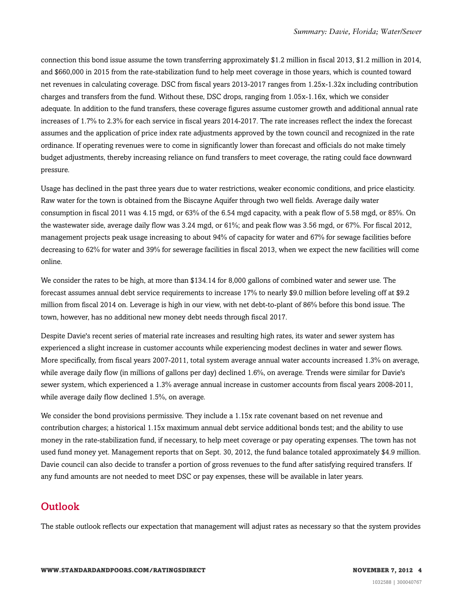connection this bond issue assume the town transferring approximately \$1.2 million in fiscal 2013, \$1.2 million in 2014, and \$660,000 in 2015 from the rate-stabilization fund to help meet coverage in those years, which is counted toward net revenues in calculating coverage. DSC from fiscal years 2013-2017 ranges from 1.25x-1.32x including contribution charges and transfers from the fund. Without these, DSC drops, ranging from 1.05x-1.16x, which we consider adequate. In addition to the fund transfers, these coverage figures assume customer growth and additional annual rate increases of 1.7% to 2.3% for each service in fiscal years 2014-2017. The rate increases reflect the index the forecast assumes and the application of price index rate adjustments approved by the town council and recognized in the rate ordinance. If operating revenues were to come in significantly lower than forecast and officials do not make timely budget adjustments, thereby increasing reliance on fund transfers to meet coverage, the rating could face downward pressure.

Usage has declined in the past three years due to water restrictions, weaker economic conditions, and price elasticity. Raw water for the town is obtained from the Biscayne Aquifer through two well fields. Average daily water consumption in fiscal 2011 was 4.15 mgd, or 63% of the 6.54 mgd capacity, with a peak flow of 5.58 mgd, or 85%. On the wastewater side, average daily flow was 3.24 mgd, or 61%; and peak flow was 3.56 mgd, or 67%. For fiscal 2012, management projects peak usage increasing to about 94% of capacity for water and 67% for sewage facilities before decreasing to 62% for water and 39% for sewerage facilities in fiscal 2013, when we expect the new facilities will come online.

We consider the rates to be high, at more than \$134.14 for 8,000 gallons of combined water and sewer use. The forecast assumes annual debt service requirements to increase 17% to nearly \$9.0 million before leveling off at \$9.2 million from fiscal 2014 on. Leverage is high in our view, with net debt-to-plant of 86% before this bond issue. The town, however, has no additional new money debt needs through fiscal 2017.

Despite Davie's recent series of material rate increases and resulting high rates, its water and sewer system has experienced a slight increase in customer accounts while experiencing modest declines in water and sewer flows. More specifically, from fiscal years 2007-2011, total system average annual water accounts increased 1.3% on average, while average daily flow (in millions of gallons per day) declined 1.6%, on average. Trends were similar for Davie's sewer system, which experienced a 1.3% average annual increase in customer accounts from fiscal years 2008-2011, while average daily flow declined 1.5%, on average.

We consider the bond provisions permissive. They include a 1.15x rate covenant based on net revenue and contribution charges; a historical 1.15x maximum annual debt service additional bonds test; and the ability to use money in the rate-stabilization fund, if necessary, to help meet coverage or pay operating expenses. The town has not used fund money yet. Management reports that on Sept. 30, 2012, the fund balance totaled approximately \$4.9 million. Davie council can also decide to transfer a portion of gross revenues to the fund after satisfying required transfers. If any fund amounts are not needed to meet DSC or pay expenses, these will be available in later years.

#### <span id="page-3-0"></span>Outlook

The stable outlook reflects our expectation that management will adjust rates as necessary so that the system provides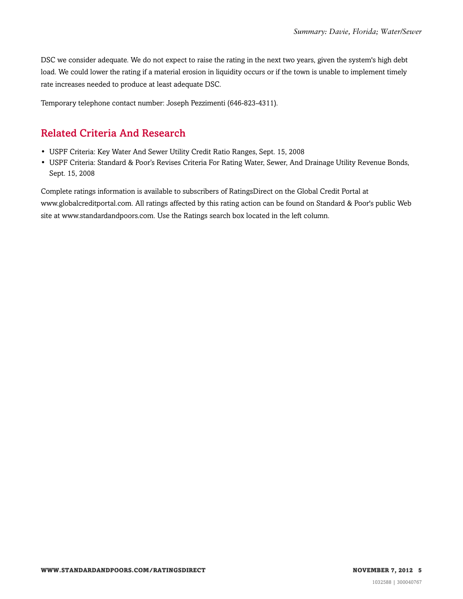DSC we consider adequate. We do not expect to raise the rating in the next two years, given the system's high debt load. We could lower the rating if a material erosion in liquidity occurs or if the town is unable to implement timely rate increases needed to produce at least adequate DSC.

<span id="page-4-0"></span>Temporary telephone contact number: Joseph Pezzimenti (646-823-4311).

#### Related Criteria And Research

- USPF Criteria: Key Water And Sewer Utility Credit Ratio Ranges, Sept. 15, 2008
- USPF Criteria: Standard & Poor's Revises Criteria For Rating Water, Sewer, And Drainage Utility Revenue Bonds, Sept. 15, 2008

Complete ratings information is available to subscribers of RatingsDirect on the Global Credit Portal at www.globalcreditportal.com. All ratings affected by this rating action can be found on Standard & Poor's public Web site at www.standardandpoors.com. Use the Ratings search box located in the left column.